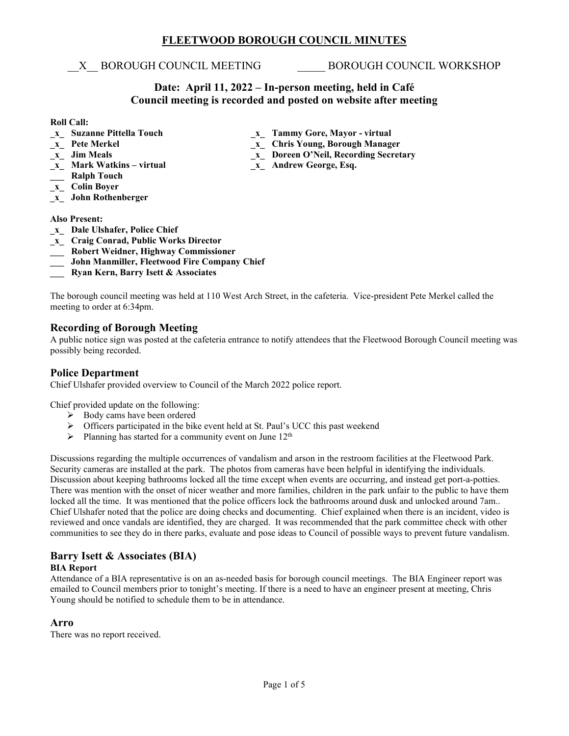# **FLEETWOOD BOROUGH COUNCIL MINUTES**

X BOROUGH COUNCIL MEETING BOROUGH COUNCIL WORKSHOP

# **Date: April 11, 2022 – In-person meeting, held in Café Council meeting is recorded and posted on website after meeting**

- **Roll Call:**<br><u>x</u> Suzanne Pittella Touch
- 
- 
- 
- **\_\_\_ Ralph Touch**
- **\_x\_ Colin Boyer**
- **\_x\_ John Rothenberger**

**Also Present:**

- **\_x\_ Dale Ulshafer, Police Chief**
- **\_x\_ Craig Conrad, Public Works Director**
- **\_\_\_ Robert Weidner, Highway Commissioner**
- **\_\_\_ John Manmiller, Fleetwood Fire Company Chief**
- **\_\_\_ Ryan Kern, Barry Isett & Associates**

The borough council meeting was held at 110 West Arch Street, in the cafeteria. Vice-president Pete Merkel called the meeting to order at 6:34pm.

# **Recording of Borough Meeting**

A public notice sign was posted at the cafeteria entrance to notify attendees that the Fleetwood Borough Council meeting was possibly being recorded.

# **Police Department**

Chief Ulshafer provided overview to Council of the March 2022 police report.

Chief provided update on the following:

- $\triangleright$  Body cams have been ordered
- $\triangleright$  Officers participated in the bike event held at St. Paul's UCC this past weekend
- $\triangleright$  Planning has started for a community event on June 12<sup>th</sup>

Discussions regarding the multiple occurrences of vandalism and arson in the restroom facilities at the Fleetwood Park. Security cameras are installed at the park. The photos from cameras have been helpful in identifying the individuals. Discussion about keeping bathrooms locked all the time except when events are occurring, and instead get port-a-potties. There was mention with the onset of nicer weather and more families, children in the park unfair to the public to have them locked all the time. It was mentioned that the police officers lock the bathrooms around dusk and unlocked around 7am.. Chief Ulshafer noted that the police are doing checks and documenting. Chief explained when there is an incident, video is reviewed and once vandals are identified, they are charged. It was recommended that the park committee check with other communities to see they do in there parks, evaluate and pose ideas to Council of possible ways to prevent future vandalism.

# **Barry Isett & Associates (BIA)**

# **BIA Report**

Attendance of a BIA representative is on an as-needed basis for borough council meetings. The BIA Engineer report was emailed to Council members prior to tonight's meeting. If there is a need to have an engineer present at meeting, Chris Young should be notified to schedule them to be in attendance.

# **Arro**

There was no report received.

- **\_x\_ Suzanne Pittella Touch \_x\_ Tammy Gore, Mayor - virtual**
- **\_x\_ Pete Merkel \_x\_ Chris Young, Borough Manager**
- **\_x\_ Jim Meals**<br> **\_x\_ Doreen O'Neil, Recording Secretary**<br> **x** Andrew George, Esq.
	- $\mathbf{x}_\mathbf{z}$  Andrew George, Esq.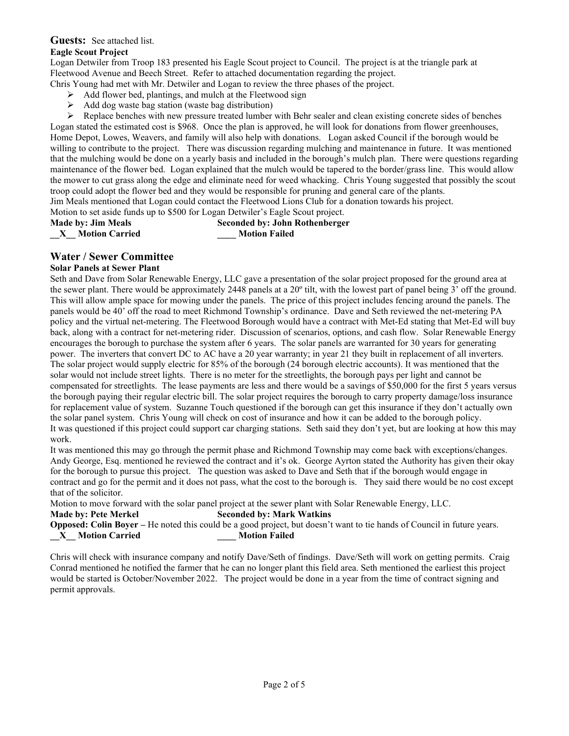# **Guests:** See attached list.

# **Eagle Scout Project**

Logan Detwiler from Troop 183 presented his Eagle Scout project to Council. The project is at the triangle park at Fleetwood Avenue and Beech Street. Refer to attached documentation regarding the project.

Chris Young had met with Mr. Detwiler and Logan to review the three phases of the project.

- $\triangleright$  Add flower bed, plantings, and mulch at the Fleetwood sign
- $\triangleright$  Add dog waste bag station (waste bag distribution)

 $\triangleright$  Replace benches with new pressure treated lumber with Behr sealer and clean existing concrete sides of benches

Logan stated the estimated cost is \$968. Once the plan is approved, he will look for donations from flower greenhouses, Home Depot, Lowes, Weavers, and family will also help with donations. Logan asked Council if the borough would be willing to contribute to the project. There was discussion regarding mulching and maintenance in future. It was mentioned that the mulching would be done on a yearly basis and included in the borough's mulch plan. There were questions regarding maintenance of the flower bed. Logan explained that the mulch would be tapered to the border/grass line. This would allow the mower to cut grass along the edge and eliminate need for weed whacking. Chris Young suggested that possibly the scout troop could adopt the flower bed and they would be responsible for pruning and general care of the plants.

Jim Meals mentioned that Logan could contact the Fleetwood Lions Club for a donation towards his project.

Motion to set aside funds up to \$500 for Logan Detwiler's Eagle Scout project.

**Made by: Jim Meals Seconded by: John Rothenberger \_\_X\_\_ Motion Carried \_\_\_\_ Motion Failed**

# **Water / Sewer Committee**

# **Solar Panels at Sewer Plant**

Seth and Dave from Solar Renewable Energy, LLC gave a presentation of the solar project proposed for the ground area at the sewer plant. There would be approximately 2448 panels at a 20º tilt, with the lowest part of panel being 3' off the ground. This will allow ample space for mowing under the panels. The price of this project includes fencing around the panels. The panels would be 40' off the road to meet Richmond Township's ordinance. Dave and Seth reviewed the net-metering PA policy and the virtual net-metering. The Fleetwood Borough would have a contract with Met-Ed stating that Met-Ed will buy back, along with a contract for net-metering rider. Discussion of scenarios, options, and cash flow. Solar Renewable Energy encourages the borough to purchase the system after 6 years. The solar panels are warranted for 30 years for generating power. The inverters that convert DC to AC have a 20 year warranty; in year 21 they built in replacement of all inverters. The solar project would supply electric for 85% of the borough (24 borough electric accounts). It was mentioned that the solar would not include street lights. There is no meter for the streetlights, the borough pays per light and cannot be compensated for streetlights. The lease payments are less and there would be a savings of \$50,000 for the first 5 years versus the borough paying their regular electric bill. The solar project requires the borough to carry property damage/loss insurance for replacement value of system. Suzanne Touch questioned if the borough can get this insurance if they don't actually own the solar panel system. Chris Young will check on cost of insurance and how it can be added to the borough policy. It was questioned if this project could support car charging stations. Seth said they don't yet, but are looking at how this may work.

It was mentioned this may go through the permit phase and Richmond Township may come back with exceptions/changes. Andy George, Esq. mentioned he reviewed the contract and it's ok. George Ayrton stated the Authority has given their okay for the borough to pursue this project. The question was asked to Dave and Seth that if the borough would engage in contract and go for the permit and it does not pass, what the cost to the borough is. They said there would be no cost except that of the solicitor.

Motion to move forward with the solar panel project at the sewer plant with Solar Renewable Energy, LLC.

# **Made by: Pete Merkel Seconded by: Mark Watkins**

**Opposed: Colin Boyer** – He noted this could be a good project, but doesn't want to tie hands of Council in future years. **\_\_X\_\_ Motion Carried \_\_\_\_ Motion Failed**

Chris will check with insurance company and notify Dave/Seth of findings. Dave/Seth will work on getting permits. Craig Conrad mentioned he notified the farmer that he can no longer plant this field area. Seth mentioned the earliest this project would be started is October/November 2022. The project would be done in a year from the time of contract signing and permit approvals.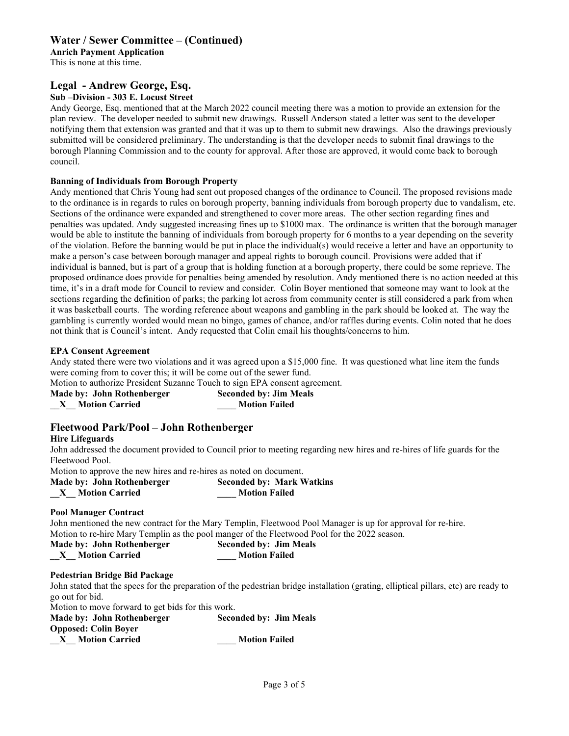# **Water / Sewer Committee – (Continued)**

**Anrich Payment Application**

This is none at this time.

# **Legal - Andrew George, Esq.**

### **Sub –Division - 303 E. Locust Street**

Andy George, Esq. mentioned that at the March 2022 council meeting there was a motion to provide an extension for the plan review. The developer needed to submit new drawings. Russell Anderson stated a letter was sent to the developer notifying them that extension was granted and that it was up to them to submit new drawings. Also the drawings previously submitted will be considered preliminary. The understanding is that the developer needs to submit final drawings to the borough Planning Commission and to the county for approval. After those are approved, it would come back to borough council.

#### **Banning of Individuals from Borough Property**

Andy mentioned that Chris Young had sent out proposed changes of the ordinance to Council. The proposed revisions made to the ordinance is in regards to rules on borough property, banning individuals from borough property due to vandalism, etc. Sections of the ordinance were expanded and strengthened to cover more areas. The other section regarding fines and penalties was updated. Andy suggested increasing fines up to \$1000 max. The ordinance is written that the borough manager would be able to institute the banning of individuals from borough property for 6 months to a year depending on the severity of the violation. Before the banning would be put in place the individual(s) would receive a letter and have an opportunity to make a person's case between borough manager and appeal rights to borough council. Provisions were added that if individual is banned, but is part of a group that is holding function at a borough property, there could be some reprieve. The proposed ordinance does provide for penalties being amended by resolution. Andy mentioned there is no action needed at this time, it's in a draft mode for Council to review and consider. Colin Boyer mentioned that someone may want to look at the sections regarding the definition of parks; the parking lot across from community center is still considered a park from when it was basketball courts. The wording reference about weapons and gambling in the park should be looked at. The way the gambling is currently worded would mean no bingo, games of chance, and/or raffles during events. Colin noted that he does not think that is Council's intent. Andy requested that Colin email his thoughts/concerns to him.

#### **EPA Consent Agreement**

Andy stated there were two violations and it was agreed upon a \$15,000 fine. It was questioned what line item the funds were coming from to cover this; it will be come out of the sewer fund.

Motion to authorize President Suzanne Touch to sign EPA consent agreement.<br>Made by: John Rothenberger Seconded by: Jim Meals **Made by: John Rothenberger \_\_X\_\_ Motion Carried \_\_\_\_ Motion Failed**

# **Fleetwood Park/Pool – John Rothenberger**

#### **Hire Lifeguards**

John addressed the document provided to Council prior to meeting regarding new hires and re-hires of life guards for the Fleetwood Pool.

Motion to approve the new hires and re-hires as noted on document.

| Made by: John Rothenberger | <b>Seconded by: Mark Watkins</b> |
|----------------------------|----------------------------------|
| <b>Motion Carried</b>      | <b>Motion Failed</b>             |

#### **Pool Manager Contract**

John mentioned the new contract for the Mary Templin, Fleetwood Pool Manager is up for approval for re-hire. Motion to re-hire Mary Templin as the pool manger of the Fleetwood Pool for the 2022 season.

| Made by: John Rothenberger | <b>Seconded by: Jim Meals</b> |  |
|----------------------------|-------------------------------|--|
| <b>Motion Carried</b>      | <b>Motion Failed</b>          |  |

#### **Pedestrian Bridge Bid Package**

John stated that the specs for the preparation of the pedestrian bridge installation (grating, elliptical pillars, etc) are ready to go out for bid.

Motion to move forward to get bids for this work.

| Made by: John Rothenberger  | <b>Seconded by: Jim Meals</b> |
|-----------------------------|-------------------------------|
| <b>Opposed: Colin Boyer</b> |                               |
| <b>Motion Carried</b>       | <b>Motion Failed</b>          |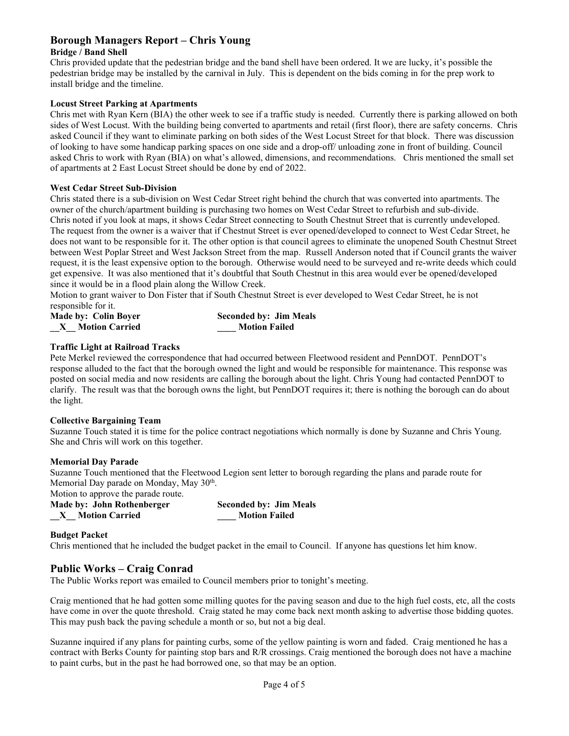# **Borough Managers Report – Chris Young**

# **Bridge / Band Shell**

Chris provided update that the pedestrian bridge and the band shell have been ordered. It we are lucky, it's possible the pedestrian bridge may be installed by the carnival in July. This is dependent on the bids coming in for the prep work to install bridge and the timeline.

# **Locust Street Parking at Apartments**

Chris met with Ryan Kern (BIA) the other week to see if a traffic study is needed. Currently there is parking allowed on both sides of West Locust. With the building being converted to apartments and retail (first floor), there are safety concerns. Chris asked Council if they want to eliminate parking on both sides of the West Locust Street for that block. There was discussion of looking to have some handicap parking spaces on one side and a drop-off/ unloading zone in front of building. Council asked Chris to work with Ryan (BIA) on what's allowed, dimensions, and recommendations. Chris mentioned the small set of apartments at 2 East Locust Street should be done by end of 2022.

#### **West Cedar Street Sub-Division**

Chris stated there is a sub-division on West Cedar Street right behind the church that was converted into apartments. The owner of the church/apartment building is purchasing two homes on West Cedar Street to refurbish and sub-divide. Chris noted if you look at maps, it shows Cedar Street connecting to South Chestnut Street that is currently undeveloped. The request from the owner is a waiver that if Chestnut Street is ever opened/developed to connect to West Cedar Street, he does not want to be responsible for it. The other option is that council agrees to eliminate the unopened South Chestnut Street between West Poplar Street and West Jackson Street from the map. Russell Anderson noted that if Council grants the waiver request, it is the least expensive option to the borough. Otherwise would need to be surveyed and re-write deeds which could get expensive. It was also mentioned that it's doubtful that South Chestnut in this area would ever be opened/developed since it would be in a flood plain along the Willow Creek.

Motion to grant waiver to Don Fister that if South Chestnut Street is ever developed to West Cedar Street, he is not responsible for it.

| <b>Made by: Colin Boyer</b> | <b>Seconded by: Jim Meals</b> |
|-----------------------------|-------------------------------|
| <b>Motion Carried</b>       | <b>Motion Failed</b>          |

# **Traffic Light at Railroad Tracks**

Pete Merkel reviewed the correspondence that had occurred between Fleetwood resident and PennDOT. PennDOT's response alluded to the fact that the borough owned the light and would be responsible for maintenance. This response was posted on social media and now residents are calling the borough about the light. Chris Young had contacted PennDOT to clarify. The result was that the borough owns the light, but PennDOT requires it; there is nothing the borough can do about the light.

#### **Collective Bargaining Team**

Suzanne Touch stated it is time for the police contract negotiations which normally is done by Suzanne and Chris Young. She and Chris will work on this together.

#### **Memorial Day Parade**

Suzanne Touch mentioned that the Fleetwood Legion sent letter to borough regarding the plans and parade route for Memorial Day parade on Monday, May 30<sup>th</sup>.

Motion to approve the parade route.

| Made by: John Rothenberger | <b>Seconded by: Jim Meals</b> |
|----------------------------|-------------------------------|
| <b>Motion Carried</b>      | <b>Motion Failed</b>          |

#### **Budget Packet**

Chris mentioned that he included the budget packet in the email to Council. If anyone has questions let him know.

# **Public Works – Craig Conrad**

The Public Works report was emailed to Council members prior to tonight's meeting.

Craig mentioned that he had gotten some milling quotes for the paving season and due to the high fuel costs, etc, all the costs have come in over the quote threshold. Craig stated he may come back next month asking to advertise those bidding quotes. This may push back the paving schedule a month or so, but not a big deal.

Suzanne inquired if any plans for painting curbs, some of the yellow painting is worn and faded. Craig mentioned he has a contract with Berks County for painting stop bars and R/R crossings. Craig mentioned the borough does not have a machine to paint curbs, but in the past he had borrowed one, so that may be an option.